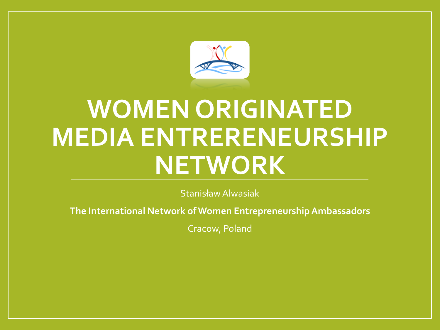

# **WOMEN ORIGINATED MEDIA ENTRERENEURSHIP NETWORK**

Stanisław Alwasiak

**The International Network of Women Entrepreneurship Ambassadors**

Cracow, Poland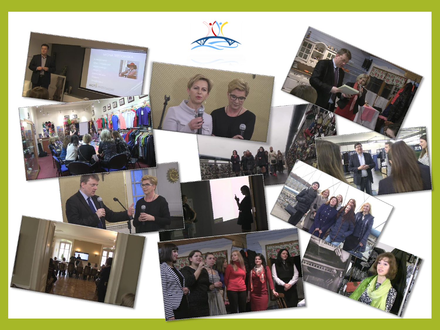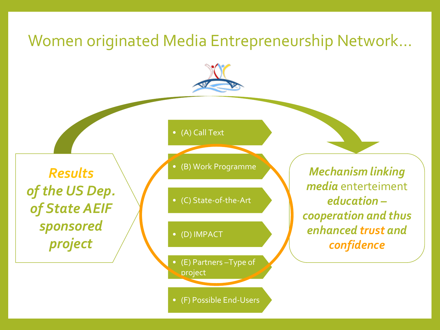#### Women originated Media Entrepreneurship Network…

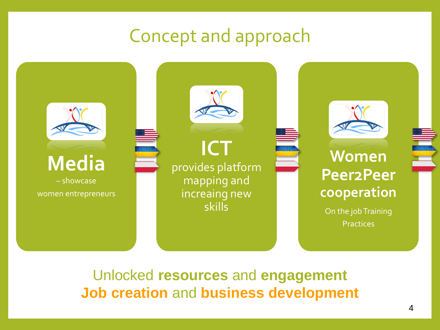### Concept and approach



Unlocked **resources** and **engagement Job creation** and **business development**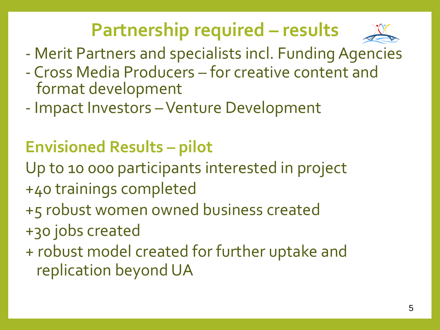## **Partnership required – results**



- Merit Partners and specialists incl. Funding Agencies
- Cross Media Producers for creative content and format development
- Impact Investors –Venture Development
- **Envisioned Results – pilot**
- Up to 10 000 participants interested in project
- +40 trainings completed
- +5 robust women owned business created
- +30 jobs created
- + robust model created for further uptake and replication beyond UA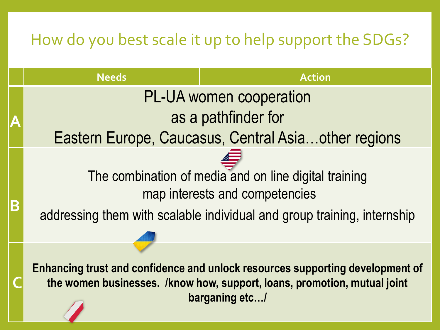### How do you best scale it up to help support the SDGs?

|  | <b>Needs</b>                                                                                                                                                                | <b>Action</b> |
|--|-----------------------------------------------------------------------------------------------------------------------------------------------------------------------------|---------------|
|  | PL-UA women cooperation                                                                                                                                                     |               |
|  | as a pathfinder for                                                                                                                                                         |               |
|  | Eastern Europe, Caucasus, Central Asiaother regions                                                                                                                         |               |
|  | The combination of media and on line digital training<br>map interests and competencies<br>addressing them with scalable individual and group training, internship          |               |
|  | Enhancing trust and confidence and unlock resources supporting development of<br>the women businesses. /know how, support, loans, promotion, mutual joint<br>barganing etc/ |               |